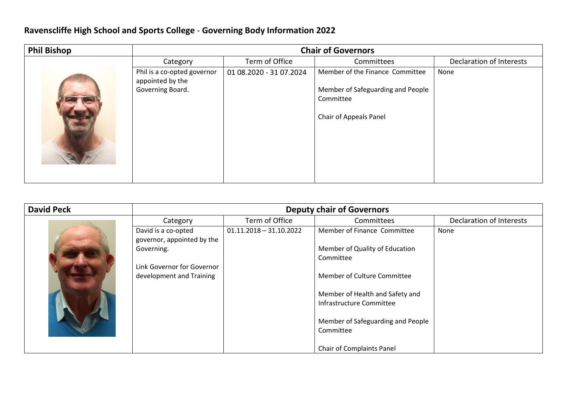## **Ravenscliffe High School and Sports College** - **Governing Body Information 2022**

| <b>Phil Bishop</b> | <b>Chair of Governors</b>                                           |                         |                                                                                                             |                          |
|--------------------|---------------------------------------------------------------------|-------------------------|-------------------------------------------------------------------------------------------------------------|--------------------------|
|                    | Category                                                            | Term of Office          | Committees                                                                                                  | Declaration of Interests |
|                    | Phil is a co-opted governor<br>appointed by the<br>Governing Board. | 01 08.2020 - 31 07.2024 | Member of the Finance Committee<br>Member of Safeguarding and People<br>Committee<br>Chair of Appeals Panel | None                     |

| <b>David Peck</b> | <b>Deputy chair of Governors</b>                       |                           |                                                             |                          |
|-------------------|--------------------------------------------------------|---------------------------|-------------------------------------------------------------|--------------------------|
|                   | Category                                               | Term of Office            | Committees                                                  | Declaration of Interests |
|                   | David is a co-opted<br>governor, appointed by the      | $01.11.2018 - 31.10.2022$ | Member of Finance Committee                                 | None                     |
|                   | Governing.                                             |                           | Member of Quality of Education<br>Committee                 |                          |
|                   | Link Governor for Governor<br>development and Training |                           | Member of Culture Committee                                 |                          |
|                   |                                                        |                           | Member of Health and Safety and<br>Infrastructure Committee |                          |
|                   |                                                        |                           | Member of Safeguarding and People<br>Committee              |                          |
|                   |                                                        |                           | Chair of Complaints Panel                                   |                          |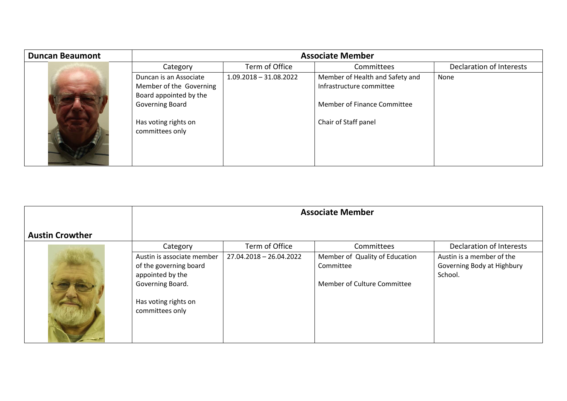| <b>Duncan Beaumont</b> | <b>Associate Member</b>                                                                                                                   |                          |                                                                                                                    |                          |
|------------------------|-------------------------------------------------------------------------------------------------------------------------------------------|--------------------------|--------------------------------------------------------------------------------------------------------------------|--------------------------|
|                        | Category                                                                                                                                  | Term of Office           | Committees                                                                                                         | Declaration of Interests |
|                        | Duncan is an Associate<br>Member of the Governing<br>Board appointed by the<br>Governing Board<br>Has voting rights on<br>committees only | $1.09.2018 - 31.08.2022$ | Member of Health and Safety and<br>Infrastructure committee<br>Member of Finance Committee<br>Chair of Staff panel | None                     |

|                        | <b>Associate Member</b>                                                                                                                 |                         |                                                                            |                                                                    |
|------------------------|-----------------------------------------------------------------------------------------------------------------------------------------|-------------------------|----------------------------------------------------------------------------|--------------------------------------------------------------------|
| <b>Austin Crowther</b> |                                                                                                                                         |                         |                                                                            |                                                                    |
|                        | Category                                                                                                                                | Term of Office          | Committees                                                                 | <b>Declaration of Interests</b>                                    |
|                        | Austin is associate member<br>of the governing board<br>appointed by the<br>Governing Board.<br>Has voting rights on<br>committees only | 27.04.2018 - 26.04.2022 | Member of Quality of Education<br>Committee<br>Member of Culture Committee | Austin is a member of the<br>Governing Body at Highbury<br>School. |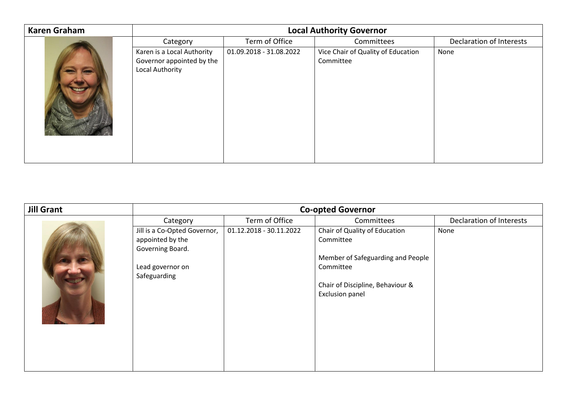| <b>Karen Graham</b> | <b>Local Authority Governor</b>                                            |                         |                                                 |                          |
|---------------------|----------------------------------------------------------------------------|-------------------------|-------------------------------------------------|--------------------------|
|                     | Category                                                                   | Term of Office          | Committees                                      | Declaration of Interests |
|                     | Karen is a Local Authority<br>Governor appointed by the<br>Local Authority | 01.09.2018 - 31.08.2022 | Vice Chair of Quality of Education<br>Committee | None                     |

| <b>Jill Grant</b> | <b>Co-opted Governor</b>     |                         |                                   |                          |
|-------------------|------------------------------|-------------------------|-----------------------------------|--------------------------|
|                   | Category                     | Term of Office          | Committees                        | Declaration of Interests |
|                   | Jill is a Co-Opted Governor, | 01.12.2018 - 30.11.2022 | Chair of Quality of Education     | None                     |
|                   | appointed by the             |                         | Committee                         |                          |
|                   | Governing Board.             |                         |                                   |                          |
|                   |                              |                         | Member of Safeguarding and People |                          |
|                   | Lead governor on             |                         | Committee                         |                          |
|                   | Safeguarding                 |                         |                                   |                          |
|                   |                              |                         | Chair of Discipline, Behaviour &  |                          |
|                   |                              |                         | <b>Exclusion panel</b>            |                          |
|                   |                              |                         |                                   |                          |
|                   |                              |                         |                                   |                          |
|                   |                              |                         |                                   |                          |
|                   |                              |                         |                                   |                          |
|                   |                              |                         |                                   |                          |
|                   |                              |                         |                                   |                          |
|                   |                              |                         |                                   |                          |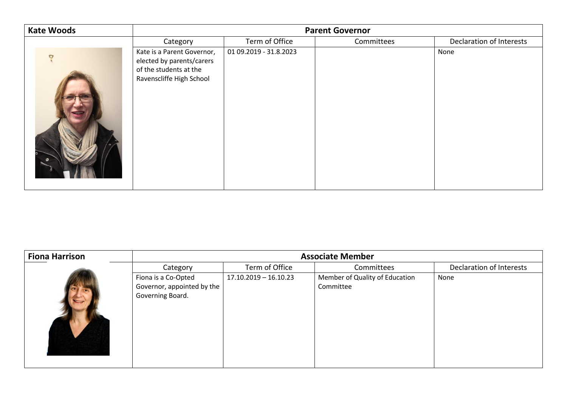| <b>Kate Woods</b> | <b>Parent Governor</b>                                                                                        |                        |            |                          |
|-------------------|---------------------------------------------------------------------------------------------------------------|------------------------|------------|--------------------------|
|                   | Category                                                                                                      | Term of Office         | Committees | Declaration of Interests |
|                   | Kate is a Parent Governor,<br>elected by parents/carers<br>of the students at the<br>Ravenscliffe High School | 01 09.2019 - 31.8.2023 |            | None                     |

| <b>Fiona Harrison</b> | <b>Associate Member</b>    |                         |                                |                          |
|-----------------------|----------------------------|-------------------------|--------------------------------|--------------------------|
|                       | Category                   | Term of Office          | Committees                     | Declaration of Interests |
|                       | Fiona is a Co-Opted        | $17.10.2019 - 16.10.23$ | Member of Quality of Education | None                     |
|                       | Governor, appointed by the |                         | Committee                      |                          |
|                       | Governing Board.           |                         |                                |                          |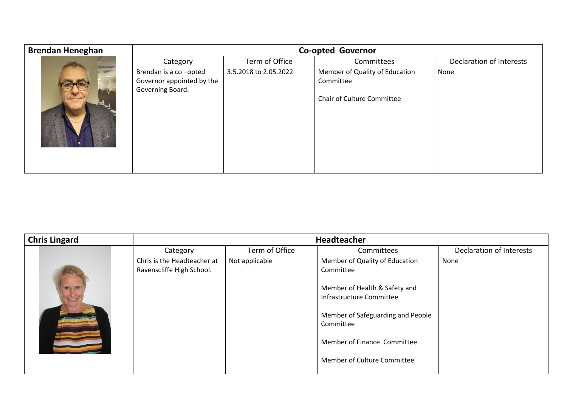| <b>Brendan Heneghan</b> | <b>Co-opted Governor</b>                                               |                       |                                                                                  |                          |
|-------------------------|------------------------------------------------------------------------|-----------------------|----------------------------------------------------------------------------------|--------------------------|
|                         | Category                                                               | Term of Office        | Committees                                                                       | Declaration of Interests |
|                         | Brendan is a co-opted<br>Governor appointed by the<br>Governing Board. | 3.5.2018 to 2.05.2022 | Member of Quality of Education<br>Committee<br><b>Chair of Culture Committee</b> | None                     |

| <b>Chris Lingard</b> | <b>Headteacher</b>                                       |                |                                                                                                                                                                                                                          |                          |
|----------------------|----------------------------------------------------------|----------------|--------------------------------------------------------------------------------------------------------------------------------------------------------------------------------------------------------------------------|--------------------------|
|                      | Category                                                 | Term of Office | Committees                                                                                                                                                                                                               | Declaration of Interests |
|                      | Chris is the Headteacher at<br>Ravenscliffe High School. | Not applicable | Member of Quality of Education<br>Committee<br>Member of Health & Safety and<br>Infrastructure Committee<br>Member of Safeguarding and People<br>Committee<br>Member of Finance Committee<br>Member of Culture Committee | None                     |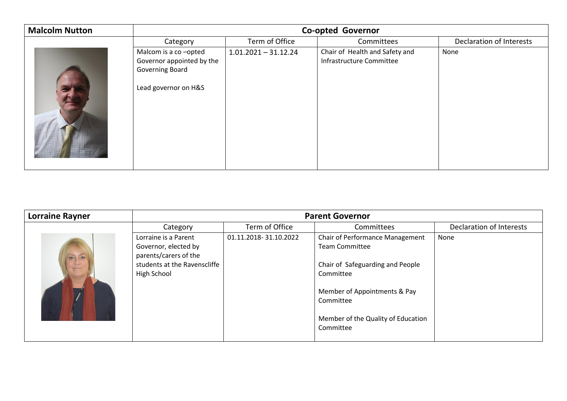| <b>Malcolm Nutton</b> | <b>Co-opted Governor</b>                                                                     |                        |                                                            |                          |
|-----------------------|----------------------------------------------------------------------------------------------|------------------------|------------------------------------------------------------|--------------------------|
|                       | Category                                                                                     | Term of Office         | Committees                                                 | Declaration of Interests |
|                       | Malcom is a co-opted<br>Governor appointed by the<br>Governing Board<br>Lead governor on H&S | $1.01.2021 - 31.12.24$ | Chair of Health and Safety and<br>Infrastructure Committee | None                     |

| <b>Lorraine Rayner</b> | <b>Parent Governor</b>                                                                                               |                       |                                                                                                                                                                                                                  |                          |
|------------------------|----------------------------------------------------------------------------------------------------------------------|-----------------------|------------------------------------------------------------------------------------------------------------------------------------------------------------------------------------------------------------------|--------------------------|
|                        | Category                                                                                                             | Term of Office        | Committees                                                                                                                                                                                                       | Declaration of Interests |
| $\circ$<br>$\bullet$   | Lorraine is a Parent<br>Governor, elected by<br>parents/carers of the<br>students at the Ravenscliffe<br>High School | 01.11.2018-31.10.2022 | <b>Chair of Performance Management</b><br><b>Team Committee</b><br>Chair of Safeguarding and People<br>Committee<br>Member of Appointments & Pay<br>Committee<br>Member of the Quality of Education<br>Committee | None                     |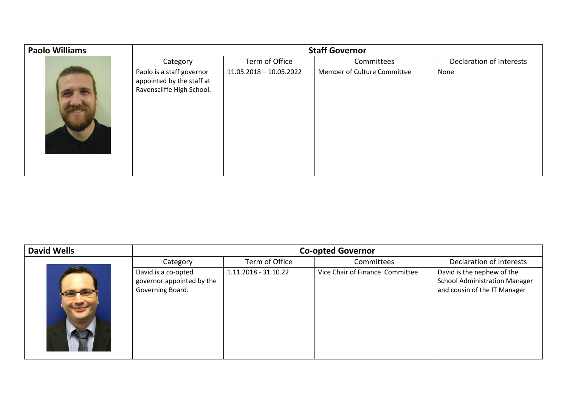| <b>Paolo Williams</b> | <b>Staff Governor</b>                                                               |                         |                             |                          |
|-----------------------|-------------------------------------------------------------------------------------|-------------------------|-----------------------------|--------------------------|
|                       | Category                                                                            | Term of Office          | Committees                  | Declaration of Interests |
|                       | Paolo is a staff governor<br>appointed by the staff at<br>Ravenscliffe High School. | 11.05.2018 - 10.05.2022 | Member of Culture Committee | None                     |

| <b>David Wells</b> | <b>Co-opted Governor</b>                                             |                      |                                 |                                                                                                    |
|--------------------|----------------------------------------------------------------------|----------------------|---------------------------------|----------------------------------------------------------------------------------------------------|
|                    | Category                                                             | Term of Office       | Committees                      | Declaration of Interests                                                                           |
|                    | David is a co-opted<br>governor appointed by the<br>Governing Board. | 1.11.2018 - 31.10.22 | Vice Chair of Finance Committee | David is the nephew of the<br><b>School Administration Manager</b><br>and cousin of the IT Manager |